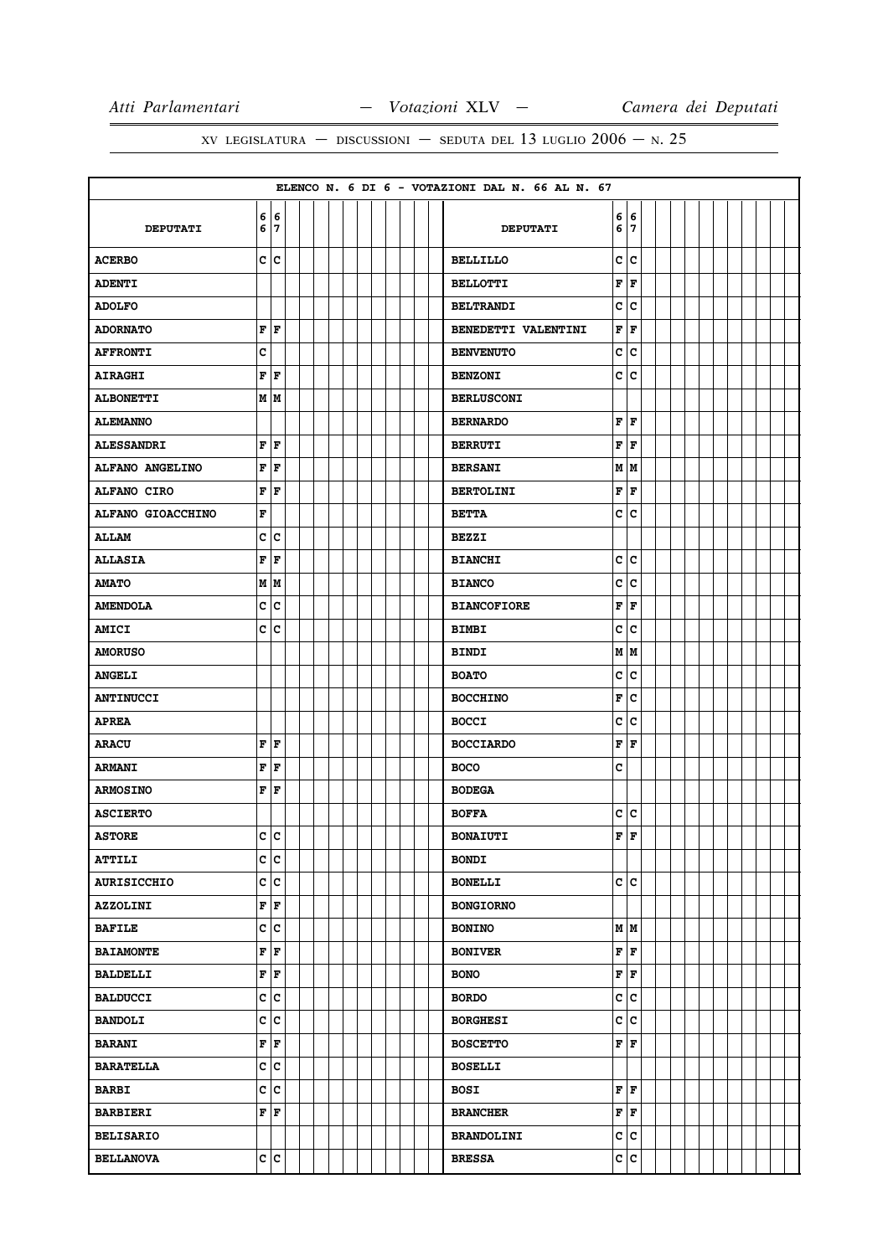|                    |                           |                         |  |  |  |  |  | ELENCO N. 6 DI 6 - VOTAZIONI DAL N. 66 AL N. 67 |        |        |  |  |  |  |  |
|--------------------|---------------------------|-------------------------|--|--|--|--|--|-------------------------------------------------|--------|--------|--|--|--|--|--|
| <b>DEPUTATI</b>    | 6<br>6                    | 6<br>7                  |  |  |  |  |  | <b>DEPUTATI</b>                                 | 6<br>6 | 6<br>7 |  |  |  |  |  |
| <b>ACERBO</b>      |                           | c c                     |  |  |  |  |  | <b>BELLILLO</b>                                 | C      | lc     |  |  |  |  |  |
| <b>ADENTI</b>      |                           |                         |  |  |  |  |  | <b>BELLOTTI</b>                                 | F      | F      |  |  |  |  |  |
| <b>ADOLFO</b>      |                           |                         |  |  |  |  |  | <b>BELTRANDI</b>                                | c      | c      |  |  |  |  |  |
| <b>ADORNATO</b>    | F F                       |                         |  |  |  |  |  | BENEDETTI VALENTINI                             | F      | F      |  |  |  |  |  |
| <b>AFFRONTI</b>    | C                         |                         |  |  |  |  |  | <b>BENVENUTO</b>                                | c      | c      |  |  |  |  |  |
| <b>AIRAGHI</b>     | FF                        |                         |  |  |  |  |  | <b>BENZONI</b>                                  | c      | c      |  |  |  |  |  |
| <b>ALBONETTI</b>   |                           | M M                     |  |  |  |  |  | <b>BERLUSCONI</b>                               |        |        |  |  |  |  |  |
| <b>ALEMANNO</b>    |                           |                         |  |  |  |  |  | <b>BERNARDO</b>                                 | F      | F      |  |  |  |  |  |
| <b>ALESSANDRI</b>  | F                         | F                       |  |  |  |  |  | <b>BERRUTI</b>                                  | F      | F      |  |  |  |  |  |
| ALFANO ANGELINO    | F                         | F                       |  |  |  |  |  | <b>BERSANI</b>                                  | М      | M      |  |  |  |  |  |
| ALFANO CIRO        | $\mathbf F$               | F                       |  |  |  |  |  | <b>BERTOLINI</b>                                | F      | F      |  |  |  |  |  |
| ALFANO GIOACCHINO  | F                         |                         |  |  |  |  |  | <b>BETTA</b>                                    | c      | c      |  |  |  |  |  |
| <b>ALLAM</b>       | c                         | c                       |  |  |  |  |  | <b>BEZZI</b>                                    |        |        |  |  |  |  |  |
| <b>ALLASIA</b>     | F                         | F                       |  |  |  |  |  | <b>BIANCHI</b>                                  | C      | c      |  |  |  |  |  |
| <b>AMATO</b>       | М                         | M                       |  |  |  |  |  | <b>BIANCO</b>                                   | C      | c      |  |  |  |  |  |
| <b>AMENDOLA</b>    | С                         | c                       |  |  |  |  |  | <b>BIANCOFIORE</b>                              | F      | F      |  |  |  |  |  |
| <b>AMICI</b>       | c                         | с                       |  |  |  |  |  | <b>BIMBI</b>                                    | c      | C      |  |  |  |  |  |
| <b>AMORUSO</b>     |                           |                         |  |  |  |  |  | <b>BINDI</b>                                    |        | M   M  |  |  |  |  |  |
| <b>ANGELI</b>      |                           |                         |  |  |  |  |  | <b>BOATO</b>                                    | c      | c      |  |  |  |  |  |
| <b>ANTINUCCI</b>   |                           |                         |  |  |  |  |  | <b>BOCCHINO</b>                                 | F      | c      |  |  |  |  |  |
| <b>APREA</b>       |                           |                         |  |  |  |  |  | <b>BOCCI</b>                                    | c      | c      |  |  |  |  |  |
| <b>ARACU</b>       | F                         | F                       |  |  |  |  |  | <b>BOCCIARDO</b>                                | F      | F      |  |  |  |  |  |
| <b>ARMANI</b>      | F                         | F                       |  |  |  |  |  | <b>BOCO</b>                                     | c      |        |  |  |  |  |  |
| <b>ARMOSINO</b>    | F                         | l F                     |  |  |  |  |  | <b>BODEGA</b>                                   |        |        |  |  |  |  |  |
| <b>ASCIERTO</b>    |                           |                         |  |  |  |  |  | <b>BOFFA</b>                                    | c      | c      |  |  |  |  |  |
| <b>ASTORE</b>      |                           | c  c                    |  |  |  |  |  | <b>BONAIUTI</b>                                 | F      | l F    |  |  |  |  |  |
| <b>ATTILI</b>      | c c                       |                         |  |  |  |  |  | <b>BONDI</b>                                    |        |        |  |  |  |  |  |
| <b>AURISICCHIO</b> |                           | c c                     |  |  |  |  |  | <b>BONELLI</b>                                  |        | c c    |  |  |  |  |  |
| <b>AZZOLINI</b>    | F                         | F                       |  |  |  |  |  | <b>BONGIORNO</b>                                |        |        |  |  |  |  |  |
| <b>BAFILE</b>      |                           | c c                     |  |  |  |  |  | <b>BONINO</b>                                   |        | мM     |  |  |  |  |  |
| <b>BAIAMONTE</b>   | F                         | F                       |  |  |  |  |  | <b>BONIVER</b>                                  | F      | F      |  |  |  |  |  |
| <b>BALDELLI</b>    | F F                       |                         |  |  |  |  |  | <b>BONO</b>                                     | F      | F      |  |  |  |  |  |
| <b>BALDUCCI</b>    | c                         | c                       |  |  |  |  |  | <b>BORDO</b>                                    | c      | c      |  |  |  |  |  |
| <b>BANDOLI</b>     | C                         | $\overline{\mathbf{c}}$ |  |  |  |  |  | <b>BORGHESI</b>                                 | c      | c      |  |  |  |  |  |
| <b>BARANI</b>      | $\mathbf{F}   \mathbf{F}$ |                         |  |  |  |  |  | <b>BOSCETTO</b>                                 |        | F F    |  |  |  |  |  |
| <b>BARATELLA</b>   |                           | c c                     |  |  |  |  |  | <b>BOSELLI</b>                                  |        |        |  |  |  |  |  |
| <b>BARBI</b>       |                           | c c                     |  |  |  |  |  | <b>BOSI</b>                                     |        | F F    |  |  |  |  |  |
| <b>BARBIERI</b>    | $\overline{\mathbf{F}}$   | F                       |  |  |  |  |  | <b>BRANCHER</b>                                 | F      | F      |  |  |  |  |  |
| <b>BELISARIO</b>   |                           |                         |  |  |  |  |  | <b>BRANDOLINI</b>                               | c      | c      |  |  |  |  |  |
| <b>BELLANOVA</b>   |                           | c c                     |  |  |  |  |  | <b>BRESSA</b>                                   | c      | c      |  |  |  |  |  |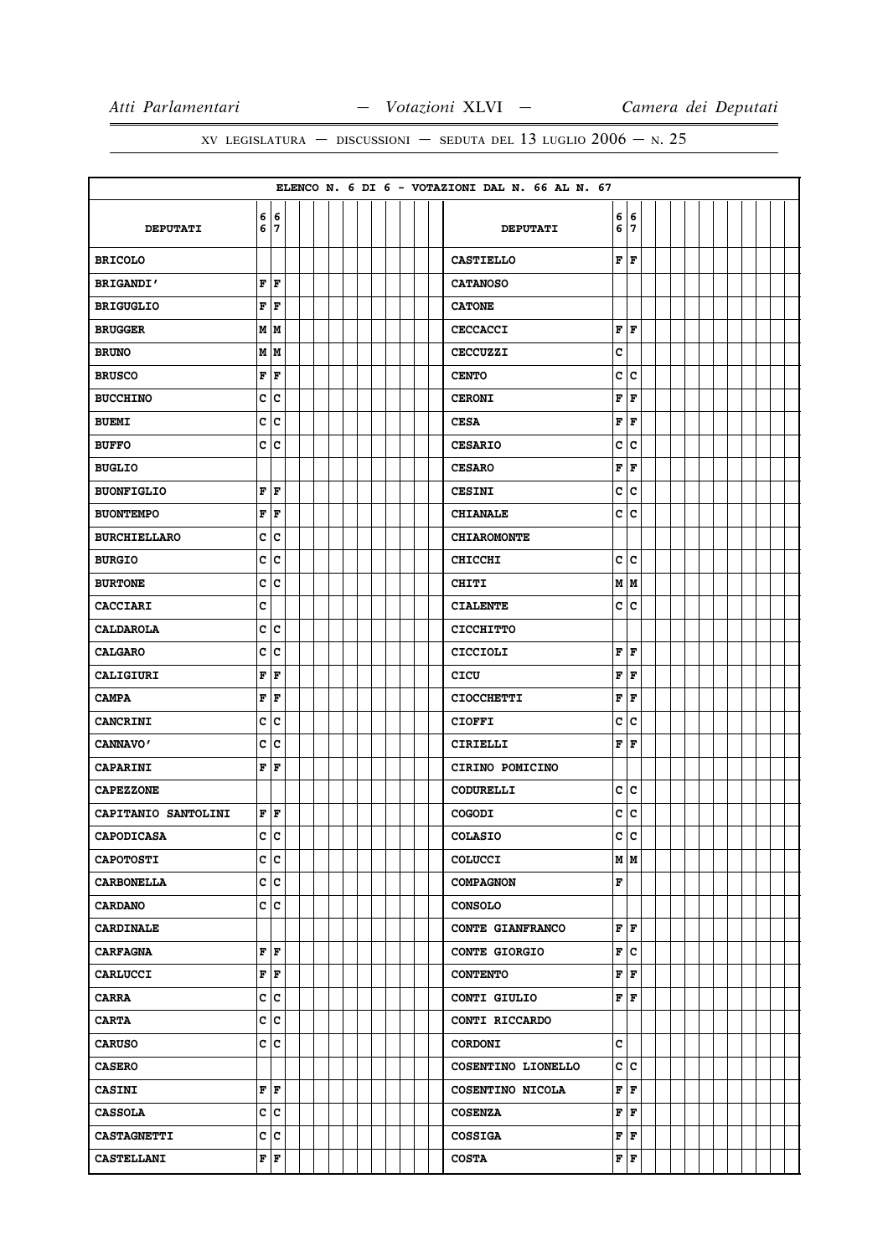|                     |        |                           |  |  |  |  |  | ELENCO N. 6 DI 6 - VOTAZIONI DAL N. 66 AL N. 67 |                         |        |  |  |  |  |  |
|---------------------|--------|---------------------------|--|--|--|--|--|-------------------------------------------------|-------------------------|--------|--|--|--|--|--|
| <b>DEPUTATI</b>     | 6<br>6 | 6<br>17                   |  |  |  |  |  | <b>DEPUTATI</b>                                 | 6<br>6                  | 6<br>7 |  |  |  |  |  |
| <b>BRICOLO</b>      |        |                           |  |  |  |  |  | <b>CASTIELLO</b>                                |                         | F F    |  |  |  |  |  |
| <b>BRIGANDI'</b>    |        | FF                        |  |  |  |  |  | <b>CATANOSO</b>                                 |                         |        |  |  |  |  |  |
| <b>BRIGUGLIO</b>    | F      | ١F                        |  |  |  |  |  | <b>CATONE</b>                                   |                         |        |  |  |  |  |  |
| <b>BRUGGER</b>      |        | MM                        |  |  |  |  |  | <b>CECCACCI</b>                                 | F                       | F      |  |  |  |  |  |
| <b>BRUNO</b>        |        | M   M                     |  |  |  |  |  | <b>CECCUZZI</b>                                 | c                       |        |  |  |  |  |  |
| <b>BRUSCO</b>       |        | F  F                      |  |  |  |  |  | <b>CENTO</b>                                    | c                       | c      |  |  |  |  |  |
| <b>BUCCHINO</b>     | C      | c                         |  |  |  |  |  | <b>CERONI</b>                                   | $\overline{\mathbf{F}}$ | F      |  |  |  |  |  |
| <b>BUEMI</b>        |        | c c                       |  |  |  |  |  | <b>CESA</b>                                     | F                       | F      |  |  |  |  |  |
| <b>BUFFO</b>        | с      | Ιc                        |  |  |  |  |  | <b>CESARIO</b>                                  | c                       | c      |  |  |  |  |  |
| <b>BUGLIO</b>       |        |                           |  |  |  |  |  | <b>CESARO</b>                                   | F                       | F      |  |  |  |  |  |
| <b>BUONFIGLIO</b>   |        | F F                       |  |  |  |  |  | <b>CESINI</b>                                   | c                       | c      |  |  |  |  |  |
| <b>BUONTEMPO</b>    | F      | F                         |  |  |  |  |  | <b>CHIANALE</b>                                 | c                       | c      |  |  |  |  |  |
| <b>BURCHIELLARO</b> | c      | c                         |  |  |  |  |  | <b>CHIAROMONTE</b>                              |                         |        |  |  |  |  |  |
| <b>BURGIO</b>       | c      | c                         |  |  |  |  |  | <b>CHICCHI</b>                                  | C                       | c      |  |  |  |  |  |
| <b>BURTONE</b>      |        | c c                       |  |  |  |  |  | <b>CHITI</b>                                    |                         | MM     |  |  |  |  |  |
| <b>CACCIARI</b>     | с      |                           |  |  |  |  |  | <b>CIALENTE</b>                                 | c                       | c      |  |  |  |  |  |
| <b>CALDAROLA</b>    | c      | c                         |  |  |  |  |  | <b>CICCHITTO</b>                                |                         |        |  |  |  |  |  |
| <b>CALGARO</b>      |        | c c                       |  |  |  |  |  | <b>CICCIOLI</b>                                 | F                       | F      |  |  |  |  |  |
| CALIGIURI           | F      | F                         |  |  |  |  |  | CICU                                            | F                       | F      |  |  |  |  |  |
| <b>CAMPA</b>        |        | $\mathbf{F}   \mathbf{F}$ |  |  |  |  |  | <b>CIOCCHETTI</b>                               | F                       | F      |  |  |  |  |  |
| <b>CANCRINI</b>     |        | c c                       |  |  |  |  |  | <b>CIOFFI</b>                                   | c                       | c      |  |  |  |  |  |
| CANNAVO'            | c      | c                         |  |  |  |  |  | CIRIELLI                                        | F                       | F      |  |  |  |  |  |
| CAPARINI            |        | F  F                      |  |  |  |  |  | CIRINO POMICINO                                 |                         |        |  |  |  |  |  |
| <b>CAPEZZONE</b>    |        |                           |  |  |  |  |  | CODURELLI                                       | C                       | c      |  |  |  |  |  |
| CAPITANIO SANTOLINI |        | F  F                      |  |  |  |  |  | <b>COGODI</b>                                   | c                       | c      |  |  |  |  |  |
| <b>CAPODICASA</b>   | c      | c                         |  |  |  |  |  | <b>COLASIO</b>                                  | c                       | c      |  |  |  |  |  |
| <b>CAPOTOSTI</b>    | c c    |                           |  |  |  |  |  | <b>COLUCCI</b>                                  |                         | MM     |  |  |  |  |  |
| <b>CARBONELLA</b>   |        | c c                       |  |  |  |  |  | <b>COMPAGNON</b>                                | F                       |        |  |  |  |  |  |
| <b>CARDANO</b>      |        | c c                       |  |  |  |  |  | <b>CONSOLO</b>                                  |                         |        |  |  |  |  |  |
| <b>CARDINALE</b>    |        |                           |  |  |  |  |  | CONTE GIANFRANCO                                |                         | F F    |  |  |  |  |  |
| <b>CARFAGNA</b>     |        | F F                       |  |  |  |  |  | <b>CONTE GIORGIO</b>                            | F                       | c      |  |  |  |  |  |
| <b>CARLUCCI</b>     |        | $\mathbf{F}   \mathbf{F}$ |  |  |  |  |  | <b>CONTENTO</b>                                 | F                       | F      |  |  |  |  |  |
| <b>CARRA</b>        |        | c c                       |  |  |  |  |  | CONTI GIULIO                                    | F                       | F      |  |  |  |  |  |
| <b>CARTA</b>        | c c    |                           |  |  |  |  |  | CONTI RICCARDO                                  |                         |        |  |  |  |  |  |
| <b>CARUSO</b>       |        | c c                       |  |  |  |  |  | <b>CORDONI</b>                                  | C                       |        |  |  |  |  |  |
| <b>CASERO</b>       |        |                           |  |  |  |  |  | COSENTINO LIONELLO                              | c                       | lc.    |  |  |  |  |  |
| <b>CASINI</b>       |        | F F                       |  |  |  |  |  | COSENTINO NICOLA                                | F                       | F      |  |  |  |  |  |
| <b>CASSOLA</b>      |        | c c                       |  |  |  |  |  | <b>COSENZA</b>                                  | F                       | F      |  |  |  |  |  |
| <b>CASTAGNETTI</b>  |        | c c                       |  |  |  |  |  | <b>COSSIGA</b>                                  | F                       | F      |  |  |  |  |  |
| <b>CASTELLANI</b>   |        | $\mathbf{F}   \mathbf{F}$ |  |  |  |  |  | <b>COSTA</b>                                    |                         | F F    |  |  |  |  |  |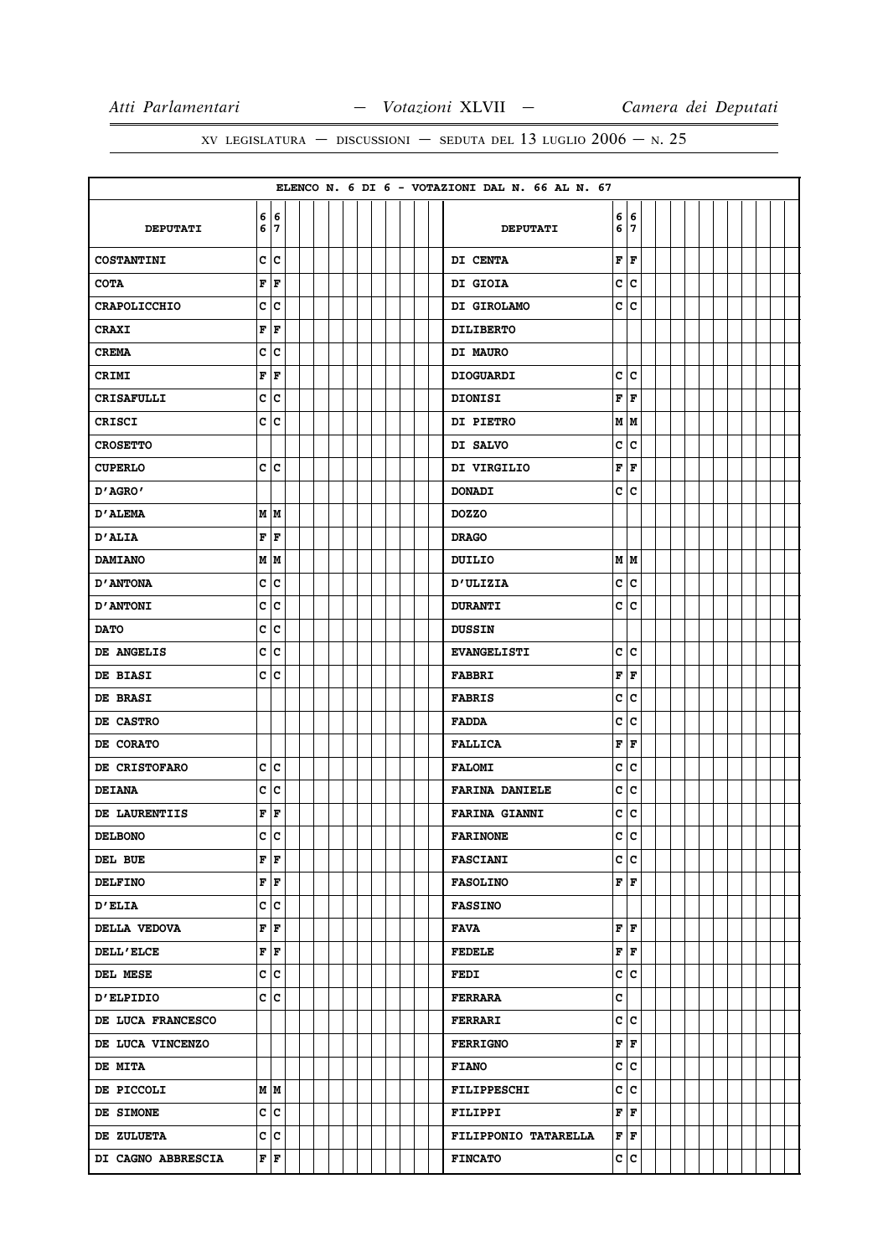|                     |                           |  |  |  |  |  | ELENCO N. 6 DI 6 - VOTAZIONI DAL N. 66 AL N. 67 |     |     |  |  |  |  |  |
|---------------------|---------------------------|--|--|--|--|--|-------------------------------------------------|-----|-----|--|--|--|--|--|
| <b>DEPUTATI</b>     | 6 6<br>6 7                |  |  |  |  |  | <b>DEPUTATI</b>                                 | 6 7 | 6 6 |  |  |  |  |  |
| <b>COSTANTINI</b>   | c c                       |  |  |  |  |  | DI CENTA                                        | F   | F   |  |  |  |  |  |
| <b>COTA</b>         | F F                       |  |  |  |  |  | DI GIOIA                                        | c   | c   |  |  |  |  |  |
| <b>CRAPOLICCHIO</b> | c c                       |  |  |  |  |  | DI GIROLAMO                                     | c c |     |  |  |  |  |  |
| <b>CRAXI</b>        | FF                        |  |  |  |  |  | <b>DILIBERTO</b>                                |     |     |  |  |  |  |  |
| <b>CREMA</b>        | c c                       |  |  |  |  |  | DI MAURO                                        |     |     |  |  |  |  |  |
| <b>CRIMI</b>        | $ {\bf F}  {\bf F}$       |  |  |  |  |  | <b>DIOGUARDI</b>                                | c   | c   |  |  |  |  |  |
| <b>CRISAFULLI</b>   | c c                       |  |  |  |  |  | <b>DIONISI</b>                                  | F   | F   |  |  |  |  |  |
| <b>CRISCI</b>       | c c                       |  |  |  |  |  | DI PIETRO                                       | MM  |     |  |  |  |  |  |
| <b>CROSETTO</b>     |                           |  |  |  |  |  | DI SALVO                                        | c   | c   |  |  |  |  |  |
| <b>CUPERLO</b>      | c c                       |  |  |  |  |  | DI VIRGILIO                                     | F   | F   |  |  |  |  |  |
| D'AGRO'             |                           |  |  |  |  |  | <b>DONADI</b>                                   | c c |     |  |  |  |  |  |
| <b>D'ALEMA</b>      | M M                       |  |  |  |  |  | <b>DOZZO</b>                                    |     |     |  |  |  |  |  |
| D'ALIA              | F F                       |  |  |  |  |  | <b>DRAGO</b>                                    |     |     |  |  |  |  |  |
| <b>DAMIANO</b>      | MM                        |  |  |  |  |  | DUILIO                                          |     | MM  |  |  |  |  |  |
| <b>D'ANTONA</b>     | c c                       |  |  |  |  |  | <b>D'ULIZIA</b>                                 | c   | c   |  |  |  |  |  |
| <b>D'ANTONI</b>     | c c                       |  |  |  |  |  | <b>DURANTI</b>                                  | c c |     |  |  |  |  |  |
| <b>DATO</b>         | c c                       |  |  |  |  |  | <b>DUSSIN</b>                                   |     |     |  |  |  |  |  |
| DE ANGELIS          | c c                       |  |  |  |  |  | <b>EVANGELISTI</b>                              |     | c c |  |  |  |  |  |
| <b>DE BIASI</b>     | c c                       |  |  |  |  |  | <b>FABBRI</b>                                   | F   | F   |  |  |  |  |  |
| DE BRASI            |                           |  |  |  |  |  | <b>FABRIS</b>                                   | c   | c   |  |  |  |  |  |
| DE CASTRO           |                           |  |  |  |  |  | <b>FADDA</b>                                    | c   | c   |  |  |  |  |  |
| DE CORATO           |                           |  |  |  |  |  | <b>FALLICA</b>                                  | F   | F   |  |  |  |  |  |
| DE CRISTOFARO       | c c                       |  |  |  |  |  | <b>FALOMI</b>                                   | c   | c   |  |  |  |  |  |
| <b>DEIANA</b>       | c c                       |  |  |  |  |  | <b>FARINA DANIELE</b>                           | c   | с   |  |  |  |  |  |
| DE LAURENTIIS       | FF                        |  |  |  |  |  | <b>FARINA GIANNI</b>                            | c   | c   |  |  |  |  |  |
| <b>DELBONO</b>      | c c                       |  |  |  |  |  | <b>FARINONE</b>                                 | c   | c   |  |  |  |  |  |
| DEL BUE             | FF                        |  |  |  |  |  | <b>FASCIANI</b>                                 |     | c c |  |  |  |  |  |
| <b>DELFINO</b>      | $\mathbf{F}   \mathbf{F}$ |  |  |  |  |  | <b>FASOLINO</b>                                 |     | F F |  |  |  |  |  |
| <b>D'ELIA</b>       | c c                       |  |  |  |  |  | <b>FASSINO</b>                                  |     |     |  |  |  |  |  |
| DELLA VEDOVA        | $\mathbf{F}$ $\mathbf{F}$ |  |  |  |  |  | FAVA                                            |     | F F |  |  |  |  |  |
| <b>DELL'ELCE</b>    | $\mathbf{F}   \mathbf{F}$ |  |  |  |  |  | <b>FEDELE</b>                                   |     | F F |  |  |  |  |  |
| DEL MESE            | c c                       |  |  |  |  |  | <b>FEDI</b>                                     |     | c c |  |  |  |  |  |
| <b>D'ELPIDIO</b>    | c c                       |  |  |  |  |  | <b>FERRARA</b>                                  | c   |     |  |  |  |  |  |
| DE LUCA FRANCESCO   |                           |  |  |  |  |  | <b>FERRARI</b>                                  |     | c c |  |  |  |  |  |
| DE LUCA VINCENZO    |                           |  |  |  |  |  | <b>FERRIGNO</b>                                 |     | F F |  |  |  |  |  |
| <b>DE MITA</b>      |                           |  |  |  |  |  | <b>FIANO</b>                                    |     | c c |  |  |  |  |  |
| DE PICCOLI          | M   M                     |  |  |  |  |  | <b>FILIPPESCHI</b>                              |     | c c |  |  |  |  |  |
| DE SIMONE           | c c                       |  |  |  |  |  | <b>FILIPPI</b>                                  | F F |     |  |  |  |  |  |
| <b>DE ZULUETA</b>   | c c                       |  |  |  |  |  | FILIPPONIO TATARELLA                            | F F |     |  |  |  |  |  |
| DI CAGNO ABBRESCIA  | $\mathbf{F}$ $\mathbf{F}$ |  |  |  |  |  | <b>FINCATO</b>                                  |     | c c |  |  |  |  |  |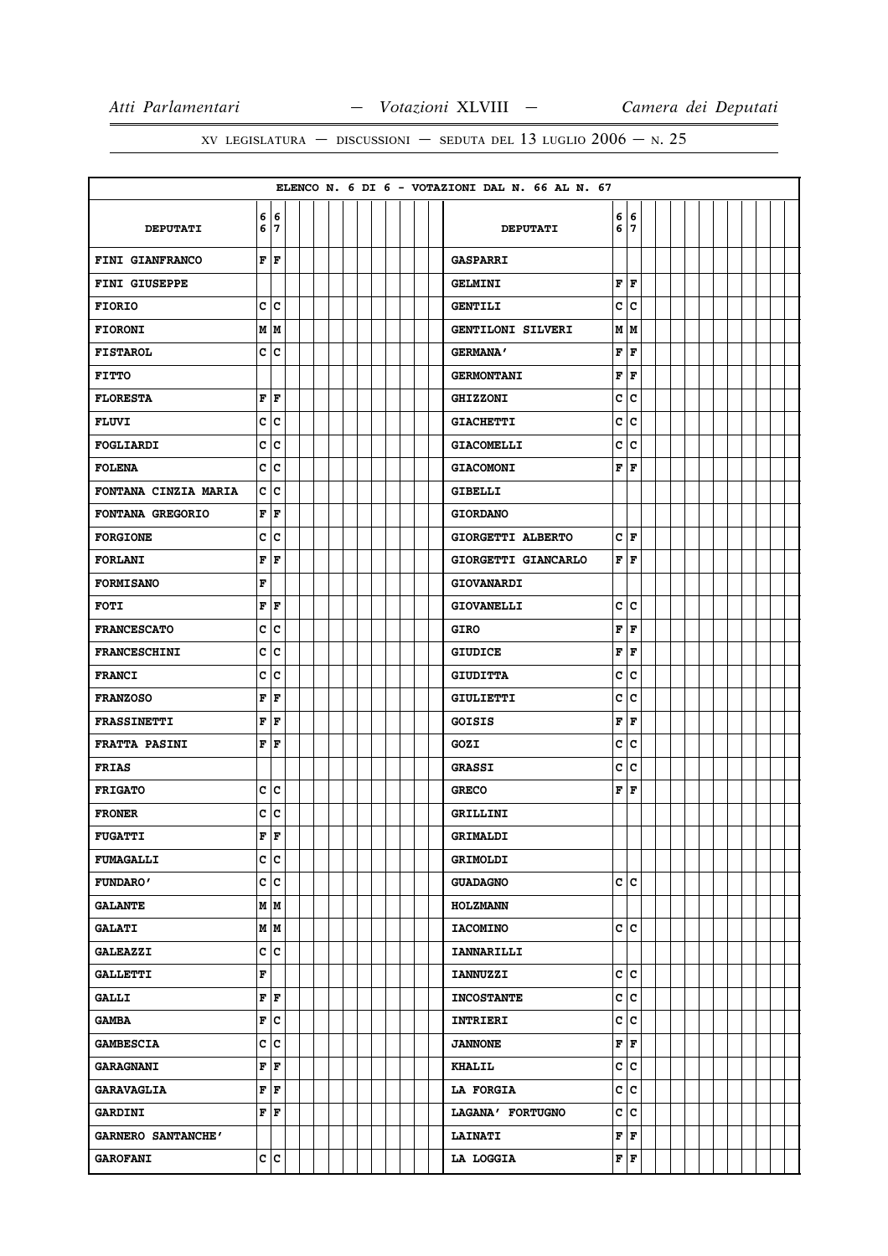|                      |             |                           |  |  |  |  |  | ELENCO N. 6 DI 6 - VOTAZIONI DAL N. 66 AL N. 67 |                        |             |  |  |  |  |  |
|----------------------|-------------|---------------------------|--|--|--|--|--|-------------------------------------------------|------------------------|-------------|--|--|--|--|--|
| <b>DEPUTATI</b>      | 6           | 6 6<br>7                  |  |  |  |  |  | <b>DEPUTATI</b>                                 | 6                      | 6   6<br>17 |  |  |  |  |  |
| FINI GIANFRANCO      |             | $\mathbf{F}   \mathbf{F}$ |  |  |  |  |  | <b>GASPARRI</b>                                 |                        |             |  |  |  |  |  |
| FINI GIUSEPPE        |             |                           |  |  |  |  |  | <b>GELMINI</b>                                  | F                      | ١F          |  |  |  |  |  |
| <b>FIORIO</b>        | c           | с                         |  |  |  |  |  | <b>GENTILI</b>                                  | C                      | c           |  |  |  |  |  |
| <b>FIORONI</b>       |             | M   M                     |  |  |  |  |  | GENTILONI SILVERI                               |                        | M   M       |  |  |  |  |  |
| <b>FISTAROL</b>      | c           | c                         |  |  |  |  |  | <b>GERMANA'</b>                                 | F                      | l F         |  |  |  |  |  |
| <b>FITTO</b>         |             |                           |  |  |  |  |  | <b>GERMONTANI</b>                               | F                      | F           |  |  |  |  |  |
| <b>FLORESTA</b>      | $\mathbf F$ | F                         |  |  |  |  |  | <b>GHIZZONI</b>                                 | C                      | c           |  |  |  |  |  |
| <b>FLUVI</b>         | c           | c                         |  |  |  |  |  | <b>GIACHETTI</b>                                | c                      | lc          |  |  |  |  |  |
| FOGLIARDI            | c           | c                         |  |  |  |  |  | <b>GIACOMELLI</b>                               | c                      | c           |  |  |  |  |  |
| <b>FOLENA</b>        | c           | c                         |  |  |  |  |  | <b>GIACOMONI</b>                                | F                      | l F         |  |  |  |  |  |
| FONTANA CINZIA MARIA |             | c c                       |  |  |  |  |  | <b>GIBELLI</b>                                  |                        |             |  |  |  |  |  |
| FONTANA GREGORIO     | F           | F                         |  |  |  |  |  | <b>GIORDANO</b>                                 |                        |             |  |  |  |  |  |
| <b>FORGIONE</b>      | c           | c                         |  |  |  |  |  | GIORGETTI ALBERTO                               | c                      | F           |  |  |  |  |  |
| <b>FORLANI</b>       | F           | F                         |  |  |  |  |  | GIORGETTI GIANCARLO                             | ${\bf F} \mid {\bf F}$ |             |  |  |  |  |  |
| <b>FORMISANO</b>     | F           |                           |  |  |  |  |  | <b>GIOVANARDI</b>                               |                        |             |  |  |  |  |  |
| <b>FOTI</b>          | F           | F                         |  |  |  |  |  | <b>GIOVANELLI</b>                               | c                      | lc.         |  |  |  |  |  |
| <b>FRANCESCATO</b>   | c           | c                         |  |  |  |  |  | GIRO                                            | F                      | F           |  |  |  |  |  |
| <b>FRANCESCHINI</b>  | c           | c                         |  |  |  |  |  | <b>GIUDICE</b>                                  | F                      | F           |  |  |  |  |  |
| <b>FRANCI</b>        | c           | c                         |  |  |  |  |  | <b>GIUDITTA</b>                                 | C                      | c           |  |  |  |  |  |
| <b>FRANZOSO</b>      | F           | F                         |  |  |  |  |  | <b>GIULIETTI</b>                                | C                      | c           |  |  |  |  |  |
| <b>FRASSINETTI</b>   | F           | F                         |  |  |  |  |  | <b>GOISIS</b>                                   | F                      | F           |  |  |  |  |  |
| <b>FRATTA PASINI</b> | F           | l F                       |  |  |  |  |  | GOZI                                            | c                      | c           |  |  |  |  |  |
| <b>FRIAS</b>         |             |                           |  |  |  |  |  | <b>GRASSI</b>                                   | c                      | c           |  |  |  |  |  |
| <b>FRIGATO</b>       |             | c c                       |  |  |  |  |  | <b>GRECO</b>                                    | F                      | l F         |  |  |  |  |  |
| <b>FRONER</b>        | с           | c                         |  |  |  |  |  | GRILLINI                                        |                        |             |  |  |  |  |  |
| <b>FUGATTI</b>       | F           | ١F                        |  |  |  |  |  | GRIMALDI                                        |                        |             |  |  |  |  |  |
| <b>FUMAGALLI</b>     |             | c c                       |  |  |  |  |  | <b>GRIMOLDI</b>                                 |                        |             |  |  |  |  |  |
| <b>FUNDARO'</b>      |             | c c                       |  |  |  |  |  | <b>GUADAGNO</b>                                 |                        | c  c        |  |  |  |  |  |
| <b>GALANTE</b>       |             | M M                       |  |  |  |  |  | <b>HOLZMANN</b>                                 |                        |             |  |  |  |  |  |
| <b>GALATI</b>        |             | M M                       |  |  |  |  |  | <b>IACOMINO</b>                                 |                        | c c         |  |  |  |  |  |
| <b>GALEAZZI</b>      | c           | c                         |  |  |  |  |  | <b>IANNARILLI</b>                               |                        |             |  |  |  |  |  |
| <b>GALLETTI</b>      | F           |                           |  |  |  |  |  | <b>IANNUZZI</b>                                 |                        | c  c        |  |  |  |  |  |
| <b>GALLI</b>         |             | F F                       |  |  |  |  |  | <b>INCOSTANTE</b>                               | C                      | c           |  |  |  |  |  |
| <b>GAMBA</b>         | F           | c                         |  |  |  |  |  | <b>INTRIERI</b>                                 | c                      | c           |  |  |  |  |  |
| <b>GAMBESCIA</b>     |             | c c                       |  |  |  |  |  | <b>JANNONE</b>                                  |                        | F F         |  |  |  |  |  |
| <b>GARAGNANI</b>     | F           | F                         |  |  |  |  |  | <b>KHALIL</b>                                   | C                      | c           |  |  |  |  |  |
| <b>GARAVAGLIA</b>    |             | F F                       |  |  |  |  |  | <b>LA FORGIA</b>                                |                        | c c         |  |  |  |  |  |
| <b>GARDINI</b>       | F           | F                         |  |  |  |  |  | LAGANA' FORTUGNO                                | c                      | c           |  |  |  |  |  |
| GARNERO SANTANCHE'   |             |                           |  |  |  |  |  | <b>LAINATI</b>                                  | F                      | F           |  |  |  |  |  |
| <b>GAROFANI</b>      |             | c c                       |  |  |  |  |  | LA LOGGIA                                       | F F                    |             |  |  |  |  |  |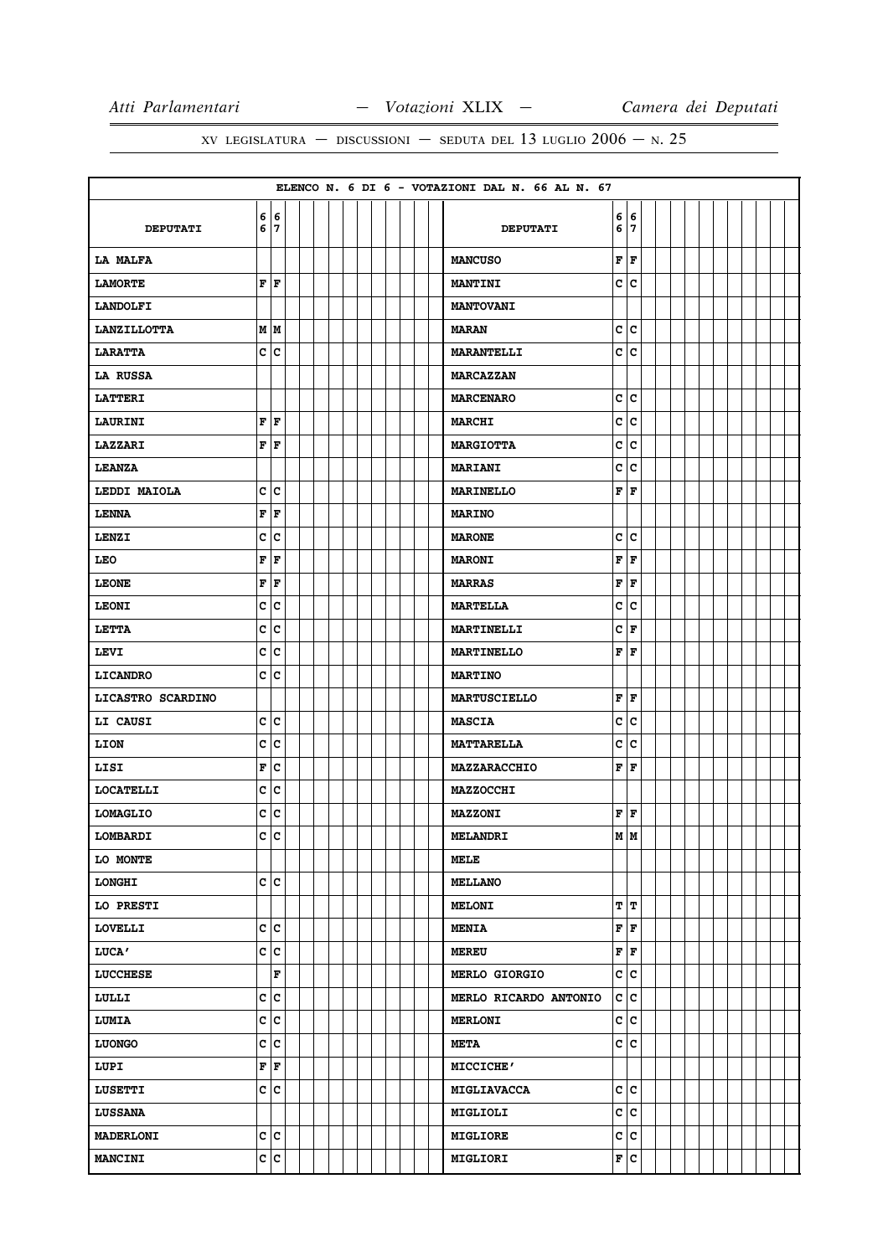|                    |              |            |  |  |  |  |  | ELENCO N. 6 DI 6 - VOTAZIONI DAL N. 66 AL N. 67 |                           |                           |  |  |  |  |  |
|--------------------|--------------|------------|--|--|--|--|--|-------------------------------------------------|---------------------------|---------------------------|--|--|--|--|--|
| <b>DEPUTATI</b>    |              | 6 6<br>6 7 |  |  |  |  |  | <b>DEPUTATI</b>                                 | 6 7                       | 6 6                       |  |  |  |  |  |
| <b>LA MALFA</b>    |              |            |  |  |  |  |  | <b>MANCUSO</b>                                  | $ {\bf F}  {\bf F}$       |                           |  |  |  |  |  |
| <b>LAMORTE</b>     |              | FF         |  |  |  |  |  | <b>MANTINI</b>                                  |                           | c c                       |  |  |  |  |  |
| <b>LANDOLFI</b>    |              |            |  |  |  |  |  | <b>MANTOVANI</b>                                |                           |                           |  |  |  |  |  |
| <b>LANZILLOTTA</b> |              | MM         |  |  |  |  |  | <b>MARAN</b>                                    | c c                       |                           |  |  |  |  |  |
| <b>LARATTA</b>     |              | c c        |  |  |  |  |  | <b>MARANTELLI</b>                               | c c                       |                           |  |  |  |  |  |
| LA RUSSA           |              |            |  |  |  |  |  | <b>MARCAZZAN</b>                                |                           |                           |  |  |  |  |  |
| <b>LATTERI</b>     |              |            |  |  |  |  |  | <b>MARCENARO</b>                                | c                         | c                         |  |  |  |  |  |
| <b>LAURINI</b>     |              | FF         |  |  |  |  |  | <b>MARCHI</b>                                   | c                         | lc.                       |  |  |  |  |  |
| <b>LAZZARI</b>     |              | FF         |  |  |  |  |  | <b>MARGIOTTA</b>                                | c                         | c                         |  |  |  |  |  |
| <b>LEANZA</b>      |              |            |  |  |  |  |  | <b>MARIANI</b>                                  | c                         | c                         |  |  |  |  |  |
| LEDDI MAIOLA       |              | c c        |  |  |  |  |  | <b>MARINELLO</b>                                | ${\bf F} \,   \, {\bf F}$ |                           |  |  |  |  |  |
| <b>LENNA</b>       |              | F F        |  |  |  |  |  | <b>MARINO</b>                                   |                           |                           |  |  |  |  |  |
| LENZI              |              | c c        |  |  |  |  |  | <b>MARONE</b>                                   | c c                       |                           |  |  |  |  |  |
| <b>LEO</b>         |              | F F        |  |  |  |  |  | <b>MARONI</b>                                   | ${\bf F} \mid {\bf F}$    |                           |  |  |  |  |  |
| <b>LEONE</b>       |              | F F        |  |  |  |  |  | <b>MARRAS</b>                                   | F                         | F                         |  |  |  |  |  |
| <b>LEONI</b>       |              | c c        |  |  |  |  |  | <b>MARTELLA</b>                                 | c                         | c                         |  |  |  |  |  |
| LETTA              |              | c c        |  |  |  |  |  | <b>MARTINELLI</b>                               | C F                       |                           |  |  |  |  |  |
| LEVI               |              | c c        |  |  |  |  |  | <b>MARTINELLO</b>                               | F F                       |                           |  |  |  |  |  |
| <b>LICANDRO</b>    |              | c c        |  |  |  |  |  | <b>MARTINO</b>                                  |                           |                           |  |  |  |  |  |
| LICASTRO SCARDINO  |              |            |  |  |  |  |  | <b>MARTUSCIELLO</b>                             | F F                       |                           |  |  |  |  |  |
| LI CAUSI           |              | c c        |  |  |  |  |  | <b>MASCIA</b>                                   | c                         | c                         |  |  |  |  |  |
| <b>LION</b>        |              | c c        |  |  |  |  |  | <b>MATTARELLA</b>                               | c                         | lc.                       |  |  |  |  |  |
| LISI               |              | F C        |  |  |  |  |  | MAZZARACCHIO                                    | ${\bf F}$ $\bf F$         |                           |  |  |  |  |  |
| <b>LOCATELLI</b>   |              | c c        |  |  |  |  |  | <b>MAZZOCCHI</b>                                |                           |                           |  |  |  |  |  |
| <b>LOMAGLIO</b>    |              | c c        |  |  |  |  |  | <b>MAZZONI</b>                                  | $ {\bf F}  {\bf F} $      |                           |  |  |  |  |  |
| LOMBARDI           |              | c c        |  |  |  |  |  | <b>MELANDRI</b>                                 |                           | мIм                       |  |  |  |  |  |
| LO MONTE           |              |            |  |  |  |  |  | MELE                                            |                           |                           |  |  |  |  |  |
| <b>LONGHI</b>      |              | c c        |  |  |  |  |  | <b>MELLANO</b>                                  |                           |                           |  |  |  |  |  |
| LO PRESTI          |              |            |  |  |  |  |  | <b>MELONI</b>                                   |                           | TIT                       |  |  |  |  |  |
| <b>LOVELLI</b>     |              | c c        |  |  |  |  |  | <b>MENIA</b>                                    | F F                       |                           |  |  |  |  |  |
| <b>LUCA'</b>       |              | c c        |  |  |  |  |  | <b>MEREU</b>                                    |                           | ${\bf F} \,   \, {\bf F}$ |  |  |  |  |  |
| <b>LUCCHESE</b>    |              | F          |  |  |  |  |  | MERLO GIORGIO                                   | c                         | c                         |  |  |  |  |  |
| LULLI              | $\mathbf{c}$ | c          |  |  |  |  |  | MERLO RICARDO ANTONIO                           | c c                       |                           |  |  |  |  |  |
| LUMIA              |              | c c        |  |  |  |  |  | <b>MERLONI</b>                                  | c                         | c                         |  |  |  |  |  |
| <b>LUONGO</b>      |              | c c        |  |  |  |  |  | <b>META</b>                                     |                           | c c                       |  |  |  |  |  |
| LUPI               |              | F F        |  |  |  |  |  | <b>MICCICHE'</b>                                |                           |                           |  |  |  |  |  |
| LUSETTI            |              | c c        |  |  |  |  |  | <b>MIGLIAVACCA</b>                              |                           | c c                       |  |  |  |  |  |
| <b>LUSSANA</b>     |              |            |  |  |  |  |  | MIGLIOLI                                        | c                         | c                         |  |  |  |  |  |
| <b>MADERLONI</b>   |              | c c        |  |  |  |  |  | <b>MIGLIORE</b>                                 |                           | c c                       |  |  |  |  |  |
| <b>MANCINI</b>     |              | c c        |  |  |  |  |  | MIGLIORI                                        | F C                       |                           |  |  |  |  |  |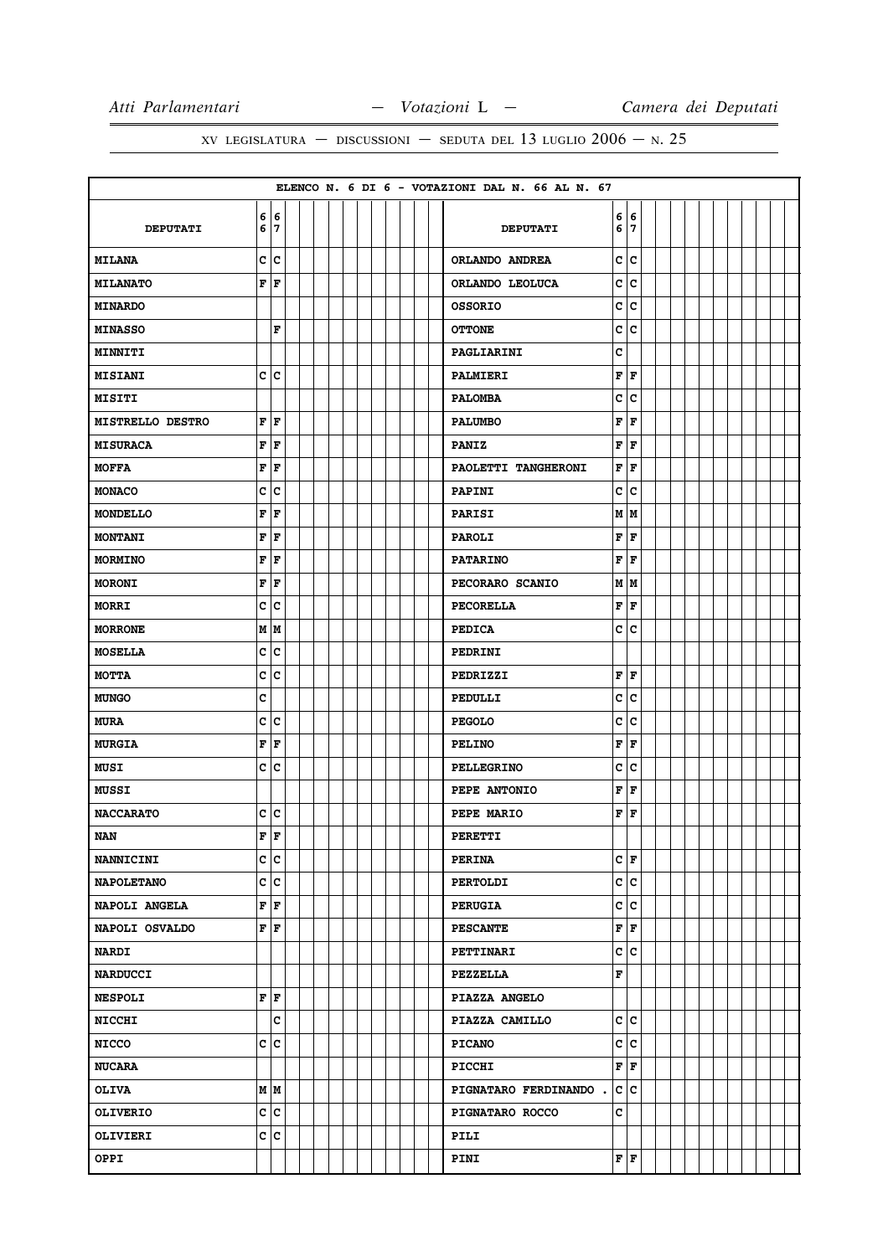|                         |   |             |  |  |  |  |  | ELENCO N. 6 DI 6 - VOTAZIONI DAL N. 66 AL N. 67 |        |          |  |  |  |  |  |
|-------------------------|---|-------------|--|--|--|--|--|-------------------------------------------------|--------|----------|--|--|--|--|--|
| <b>DEPUTATI</b>         | 6 | 6 6<br>7    |  |  |  |  |  | <b>DEPUTATI</b>                                 | 6<br>6 | 16<br>17 |  |  |  |  |  |
| <b>MILANA</b>           |   | c c         |  |  |  |  |  | ORLANDO ANDREA                                  | C      | lc.      |  |  |  |  |  |
| <b>MILANATO</b>         | F | F           |  |  |  |  |  | ORLANDO LEOLUCA                                 | C      | lc.      |  |  |  |  |  |
| <b>MINARDO</b>          |   |             |  |  |  |  |  | <b>OSSORIO</b>                                  | c      | c        |  |  |  |  |  |
| <b>MINASSO</b>          |   | F           |  |  |  |  |  | <b>OTTONE</b>                                   | c      | lc.      |  |  |  |  |  |
| MINNITI                 |   |             |  |  |  |  |  | PAGLIARINI                                      | c      |          |  |  |  |  |  |
| <b>MISIANI</b>          |   | c c         |  |  |  |  |  | PALMIERI                                        | F      | F        |  |  |  |  |  |
| <b>MISITI</b>           |   |             |  |  |  |  |  | <b>PALOMBA</b>                                  | c      | lc.      |  |  |  |  |  |
| <b>MISTRELLO DESTRO</b> | F | F           |  |  |  |  |  | <b>PALUMBO</b>                                  | F      | F        |  |  |  |  |  |
| <b>MISURACA</b>         | F | F           |  |  |  |  |  | <b>PANIZ</b>                                    | F      | l F      |  |  |  |  |  |
| <b>MOFFA</b>            | F | F           |  |  |  |  |  | PAOLETTI TANGHERONI                             | F      | F        |  |  |  |  |  |
| <b>MONACO</b>           | c | c           |  |  |  |  |  | <b>PAPINI</b>                                   | c      | lc.      |  |  |  |  |  |
| <b>MONDELLO</b>         | F | F           |  |  |  |  |  | <b>PARISI</b>                                   | M      | M        |  |  |  |  |  |
| <b>MONTANI</b>          | F | F           |  |  |  |  |  | <b>PAROLI</b>                                   | F      | F        |  |  |  |  |  |
| <b>MORMINO</b>          | F | F           |  |  |  |  |  | <b>PATARINO</b>                                 | F      | F        |  |  |  |  |  |
| <b>MORONI</b>           | F | F           |  |  |  |  |  | PECORARO SCANIO                                 |        | MM       |  |  |  |  |  |
| <b>MORRI</b>            | c | c           |  |  |  |  |  | <b>PECORELLA</b>                                | F      | F        |  |  |  |  |  |
| <b>MORRONE</b>          |   | M M         |  |  |  |  |  | <b>PEDICA</b>                                   | C      | Iс       |  |  |  |  |  |
| <b>MOSELLA</b>          | c | c           |  |  |  |  |  | <b>PEDRINI</b>                                  |        |          |  |  |  |  |  |
| <b>MOTTA</b>            | C | c           |  |  |  |  |  | PEDRIZZI                                        | F      | F        |  |  |  |  |  |
| <b>MUNGO</b>            | C |             |  |  |  |  |  | PEDULLI                                         | C      | lc.      |  |  |  |  |  |
| <b>MURA</b>             | c | c           |  |  |  |  |  | <b>PEGOLO</b>                                   | c      | lc.      |  |  |  |  |  |
| <b>MURGIA</b>           | F | F           |  |  |  |  |  | PELINO                                          | F      | l F      |  |  |  |  |  |
| MUSI                    | c | c           |  |  |  |  |  | <b>PELLEGRINO</b>                               | c      | c        |  |  |  |  |  |
| <b>MUSSI</b>            |   |             |  |  |  |  |  | PEPE ANTONIO                                    | F      | F        |  |  |  |  |  |
| <b>NACCARATO</b>        |   | c c         |  |  |  |  |  | PEPE MARIO                                      | F      | F        |  |  |  |  |  |
| <b>NAN</b>              | F | F           |  |  |  |  |  | <b>PERETTI</b>                                  |        |          |  |  |  |  |  |
| <b>NANNICINI</b>        |   | c c         |  |  |  |  |  | <b>PERINA</b>                                   |        | C F      |  |  |  |  |  |
| <b>NAPOLETANO</b>       |   | c c         |  |  |  |  |  | <b>PERTOLDI</b>                                 | c      | c        |  |  |  |  |  |
| NAPOLI ANGELA           | F | F           |  |  |  |  |  | <b>PERUGIA</b>                                  | C      | lc.      |  |  |  |  |  |
| NAPOLI OSVALDO          |   | F F         |  |  |  |  |  | <b>PESCANTE</b>                                 | F      | F        |  |  |  |  |  |
| <b>NARDI</b>            |   |             |  |  |  |  |  | <b>PETTINARI</b>                                | c      | lc.      |  |  |  |  |  |
| <b>NARDUCCI</b>         |   |             |  |  |  |  |  | <b>PEZZELLA</b>                                 | F      |          |  |  |  |  |  |
| <b>NESPOLI</b>          | F | F           |  |  |  |  |  | PIAZZA ANGELO                                   |        |          |  |  |  |  |  |
| <b>NICCHI</b>           |   | $\mathbf c$ |  |  |  |  |  | PIAZZA CAMILLO                                  | c      | c        |  |  |  |  |  |
| <b>NICCO</b>            |   | c c         |  |  |  |  |  | <b>PICANO</b>                                   | c      | c        |  |  |  |  |  |
| <b>NUCARA</b>           |   |             |  |  |  |  |  | PICCHI                                          | F      | lF.      |  |  |  |  |  |
| <b>OLIVA</b>            |   | M M         |  |  |  |  |  | PIGNATARO FERDINANDO.                           |        | c c      |  |  |  |  |  |
| <b>OLIVERIO</b>         |   | c c         |  |  |  |  |  | PIGNATARO ROCCO                                 | c      |          |  |  |  |  |  |
| OLIVIERI                |   | c c         |  |  |  |  |  | PILI                                            |        |          |  |  |  |  |  |
| OPPI                    |   |             |  |  |  |  |  | PINI                                            |        | F F      |  |  |  |  |  |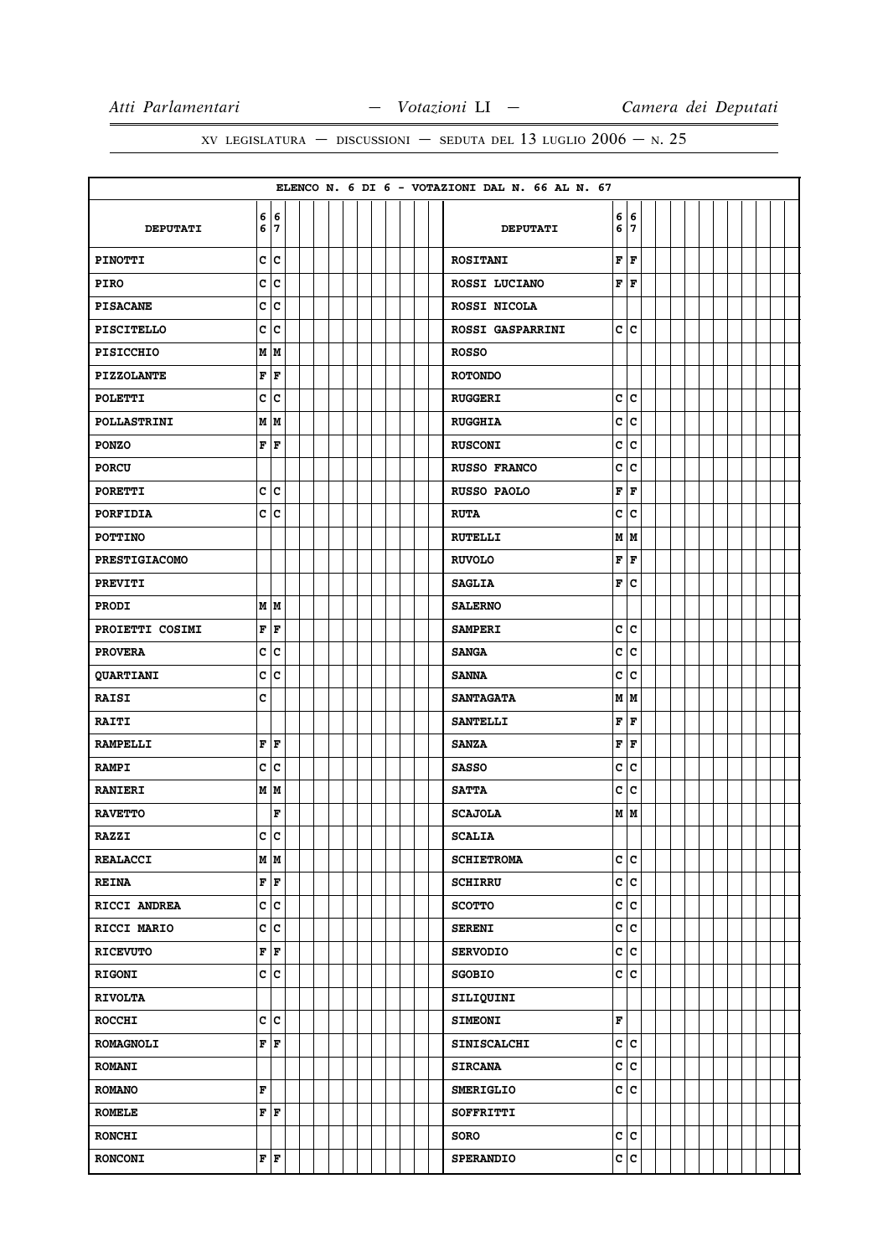|                      |                           |    |  |  |  |  |  | ELENCO N. 6 DI 6 - VOTAZIONI DAL N. 66 AL N. 67 |              |        |  |  |  |  |  |
|----------------------|---------------------------|----|--|--|--|--|--|-------------------------------------------------|--------------|--------|--|--|--|--|--|
| <b>DEPUTATI</b>      | 6 6<br>6                  | 7  |  |  |  |  |  | <b>DEPUTATI</b>                                 | 6<br>6       | 6<br>7 |  |  |  |  |  |
| <b>PINOTTI</b>       | c c                       |    |  |  |  |  |  | <b>ROSITANI</b>                                 | F            | F      |  |  |  |  |  |
| <b>PIRO</b>          | c c                       |    |  |  |  |  |  | ROSSI LUCIANO                                   | F            | lF     |  |  |  |  |  |
| <b>PISACANE</b>      | c                         | c  |  |  |  |  |  | ROSSI NICOLA                                    |              |        |  |  |  |  |  |
| <b>PISCITELLO</b>    | c                         | c  |  |  |  |  |  | <b>ROSSI GASPARRINI</b>                         | $\mathbf{C}$ | lc.    |  |  |  |  |  |
| <b>PISICCHIO</b>     | M M                       |    |  |  |  |  |  | <b>ROSSO</b>                                    |              |        |  |  |  |  |  |
| <b>PIZZOLANTE</b>    | F                         | F  |  |  |  |  |  | <b>ROTONDO</b>                                  |              |        |  |  |  |  |  |
| <b>POLETTI</b>       | c                         | ∣c |  |  |  |  |  | <b>RUGGERI</b>                                  | c            | c      |  |  |  |  |  |
| <b>POLLASTRINI</b>   | M M                       |    |  |  |  |  |  | <b>RUGGHIA</b>                                  | C            | c      |  |  |  |  |  |
| <b>PONZO</b>         | F                         | F  |  |  |  |  |  | <b>RUSCONI</b>                                  | c            | lc     |  |  |  |  |  |
| <b>PORCU</b>         |                           |    |  |  |  |  |  | <b>RUSSO FRANCO</b>                             | C            | c      |  |  |  |  |  |
| <b>PORETTI</b>       | c c                       |    |  |  |  |  |  | <b>RUSSO PAOLO</b>                              | F            | F      |  |  |  |  |  |
| PORFIDIA             | c                         | c  |  |  |  |  |  | <b>RUTA</b>                                     | c            | c      |  |  |  |  |  |
| <b>POTTINO</b>       |                           |    |  |  |  |  |  | <b>RUTELLI</b>                                  | М            | M      |  |  |  |  |  |
| <b>PRESTIGIACOMO</b> |                           |    |  |  |  |  |  | <b>RUVOLO</b>                                   | F            | F      |  |  |  |  |  |
| <b>PREVITI</b>       |                           |    |  |  |  |  |  | <b>SAGLIA</b>                                   | F            | c      |  |  |  |  |  |
| <b>PRODI</b>         | M M                       |    |  |  |  |  |  | <b>SALERNO</b>                                  |              |        |  |  |  |  |  |
| PROIETTI COSIMI      | F                         | F  |  |  |  |  |  | <b>SAMPERI</b>                                  | c            | c      |  |  |  |  |  |
| <b>PROVERA</b>       | c                         | c  |  |  |  |  |  | <b>SANGA</b>                                    | c            | lc     |  |  |  |  |  |
| QUARTIANI            | C                         | c  |  |  |  |  |  | <b>SANNA</b>                                    | C            | c      |  |  |  |  |  |
| <b>RAISI</b>         | C                         |    |  |  |  |  |  | <b>SANTAGATA</b>                                |              | M   M  |  |  |  |  |  |
| <b>RAITI</b>         |                           |    |  |  |  |  |  | <b>SANTELLI</b>                                 | F            | F      |  |  |  |  |  |
| <b>RAMPELLI</b>      | F                         | F  |  |  |  |  |  | <b>SANZA</b>                                    | F            | F      |  |  |  |  |  |
| <b>RAMPI</b>         | c c                       |    |  |  |  |  |  | <b>SASSO</b>                                    | C            | c      |  |  |  |  |  |
| <b>RANIERI</b>       | M M                       |    |  |  |  |  |  | <b>SATTA</b>                                    | c            | c      |  |  |  |  |  |
| <b>RAVETTO</b>       |                           | F  |  |  |  |  |  | <b>SCAJOLA</b>                                  |              | M   M  |  |  |  |  |  |
| <b>RAZZI</b>         | C                         | c  |  |  |  |  |  | <b>SCALIA</b>                                   |              |        |  |  |  |  |  |
| <b>REALACCI</b>      | MM                        |    |  |  |  |  |  | <b>SCHIETROMA</b>                               | c            | c      |  |  |  |  |  |
| <b>REINA</b>         | $\mathbf{F}   \mathbf{F}$ |    |  |  |  |  |  | <b>SCHIRRU</b>                                  |              | c c    |  |  |  |  |  |
| RICCI ANDREA         | c c                       |    |  |  |  |  |  | <b>SCOTTO</b>                                   | C            | c      |  |  |  |  |  |
| RICCI MARIO          | c c                       |    |  |  |  |  |  | <b>SERENI</b>                                   |              | c c    |  |  |  |  |  |
| <b>RICEVUTO</b>      | F                         | F  |  |  |  |  |  | <b>SERVODIO</b>                                 | c            | c      |  |  |  |  |  |
| <b>RIGONI</b>        | c c                       |    |  |  |  |  |  | <b>SGOBIO</b>                                   |              | c c    |  |  |  |  |  |
| <b>RIVOLTA</b>       |                           |    |  |  |  |  |  | SILIQUINI                                       |              |        |  |  |  |  |  |
| <b>ROCCHI</b>        | c c                       |    |  |  |  |  |  | <b>SIMEONI</b>                                  | F            |        |  |  |  |  |  |
| <b>ROMAGNOLI</b>     | F F                       |    |  |  |  |  |  | <b>SINISCALCHI</b>                              |              | c  c   |  |  |  |  |  |
| <b>ROMANI</b>        |                           |    |  |  |  |  |  | <b>SIRCANA</b>                                  | C            | c      |  |  |  |  |  |
| <b>ROMANO</b>        | $\mathbf F$               |    |  |  |  |  |  | <b>SMERIGLIO</b>                                |              | c c    |  |  |  |  |  |
| <b>ROMELE</b>        | F F                       |    |  |  |  |  |  | SOFFRITTI                                       |              |        |  |  |  |  |  |
| <b>RONCHI</b>        |                           |    |  |  |  |  |  | <b>SORO</b>                                     |              | c c    |  |  |  |  |  |
| <b>RONCONI</b>       | $\mathbf{F}   \mathbf{F}$ |    |  |  |  |  |  | <b>SPERANDIO</b>                                |              | c c    |  |  |  |  |  |